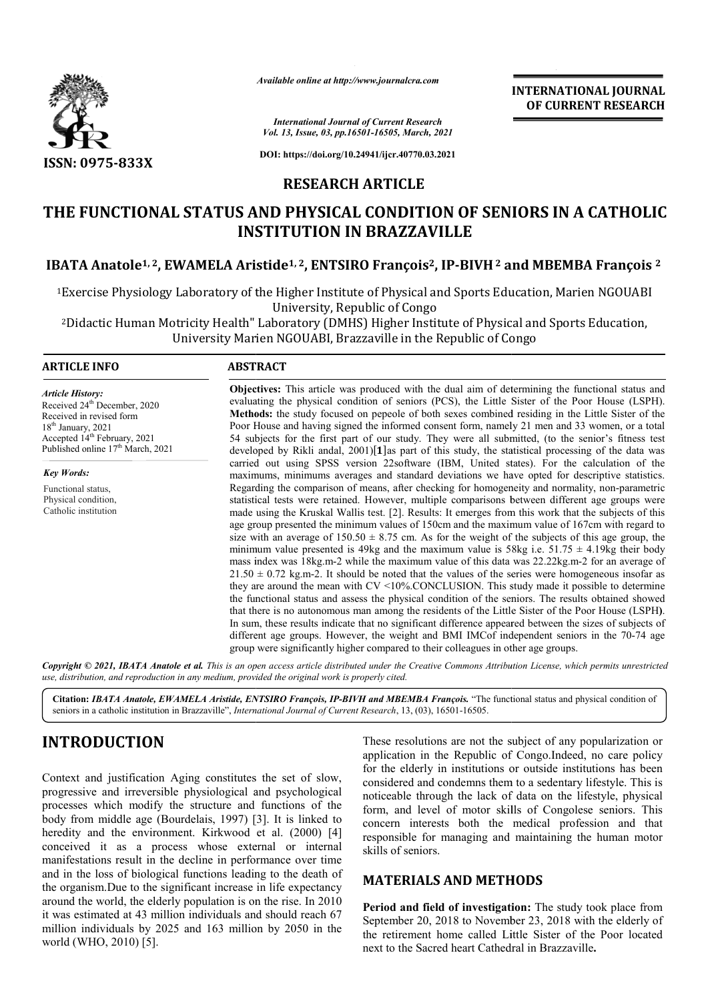

*Available online at http://www.journalcra.com*

*International Journal of Current Research Vol. 13, Issue, 03, pp.16501-16505, March, 2021*

**DOI: https://doi.org/10.24941/ijcr.40770.03.2021**

### **RESEARCH ARTICLE**

# **THE FUNCTIONAL STATUS AND PHYSICAL CONDITION OF SENIORS IN A CATHOLIC INSTITUTION IN BRAZZAVILLE IBATA Anatole<sup>1, 2</sup>, EWAMELA Aristide<sup>1, 2</sup>, ENTSIRO François<sup>2</sup>, IP-BIVH<sup>2</sup> and MBEMBA François<sup>2</sup>**

1Exercise Physiology Laboratory of the Higher Institute of Physical and Sports Education, Marien NGOUABI Exercise Physiology Laboratory of the Higher Institute of Physical and Sports Education, Marien NGOUAB.<br>University, Republic of Congo<br><sup>2</sup>Didactic Human Motricity Health" Laboratory (DMHS) Higher Institute of Physical and S University, Republic of Congo

University Marien NGOUABI, B

#### **ARTICLE INFO ABSTRACT**

*Article History:* Received 24<sup>th</sup> December, 2020 Received in revised form 18th January, 2021 Accepted 14<sup>th</sup> February, 2021 Published online 17<sup>th</sup> March, 2021

*Key Words:* Functional status, Physical condition, Catholic institution **Objectives:**  This article was produced with the dual aim of determining the functional status and Objectives: This article was produced with the dual aim of determining the functional status and evaluating the physical condition of seniors (PCS), the Little Sister of the Poor House (LSPH). **Methods:** the study focused on pepeole of both sexes combined residing in the Little Sister of the Poor House and having signed the informed consent form, namely 21 men and 33 women, or a total 54 subjects for the first part of our study. They were all submitted, (to the senior's fitness test developed by Rikli andal,  $2001$ [1]as part of this study, the statistical processing of the data was carried out using SPSS version 22software (IBM, United states). For the calculation of the maximums, minimums averages and standard deviations we have opted for descriptive statistics. maximums, minimums averages and standard deviations we have opted for descriptive statistics.<br>Regarding the comparison of means, after checking for homogeneity and normality, non-parametric statistical tests were retained. However, multiple comparisons between different age groups were made using the Kruskal Wallis test. [2]. Results: It emerges from this work that the subjects of this age group presented the minimum values of 150cm and the maximum value of 167cm with regard to size with an average of  $150.50 \pm 8.75$  cm. As for the weight of the subjects of this age group, the minimum value presented is 49kg and the maximum value is 58kg i.e.  $51.75 \pm 4.19$ kg their body mass index was 18kg.m-2 while the maximum value of this data was 22.22kg.m-2 for an average of  $21.50 \pm 0.72$  kg.m-2. It should be noted that the values of the series were homogeneous insofar as they are around the mean with  $CV  $\leq 10\%$ . CONCLUSION. This study made it possible to determine$ the functional status and assess the physical condition of the seniors. The results obtained showed that there is no autonomous man among the residents of the Little Sister of the Poor House (LSPH). In sum, these results indicate that no significant difference appeared between the sizes of subjects of different age groups. However, the weight and BMI IMCof independent seniors in the 70-74 age group were significantly higher compared to their colleagues in other age groups. group were

Copyright © 2021, IBATA Anatole et al. This is an open access article distributed under the Creative Commons Attribution License, which permits unrestrictea *use, distribution, and reproduction in any medium, provided the original work is properly cited.*

Citation: IBATA Anatole, EWAMELA Aristide, ENTSIRO François, IP-BIVH and MBEMBA François. "The functional status and physical condition of seniors in a catholic institution in Brazzaville", *International Journal of Current Research* , 13, (03), 16501-16505.

## **INTRODUCTION**

Context and justification Aging constitutes the set of slow, progressive and irreversible physiological and psychological processes which modify the structure and functions of the body from middle age (Bourdelais, 1997) [3]. It is linked to heredity and the environment. Kirkwood et al. (2000) [4] conceived it as a process whose external or internal manifestations result in the decline in performance over time and in the loss of biological functions leading to the death of the organism.Due to the significant increase in life expectancy around the world, the elderly population is on the rise. In 2010 it was estimated at 43 million individuals and should reach 67 million individuals by 2025 and 163 million by 2050 in the world (WHO, 2010) [5].

These resolutions are not the subject of any popularization or application in the Republic of Congo.Indeed, no care policy for the elderly in institutions or outside institutions has been considered and condemns them to a sedentary lifestyle. This is noticeable through the lack of data on the lifestyle, physical form, and level of motor skills of Congolese seniors. This concern interests both the medical profession and that concern interests both the medical profession and that responsible for managing and maintaining the human motor skills of seniors. ion in the Republic of Congo.Indeed, no care policy elderly in institutions or outside institutions has been red and condemns them to a sedentary lifestyle. This is ble through the lack of data on the lifestyle, physical n

**INTERNATIONAL JOURNAL OF CURRENT RESEARCH**

#### **MATERIALS AND METHOD METHODS**

Period and field of investigation: The study took place from September 20, 2018 to November 23, 2018 with the elderly of the retirement home called Little Sister of the Poor located next to the Sacred heart Cathedral in Brazzaville 20, 2018 to November 23, 2018 with the elderly of ent home called Little Sister of the Poor located Sacred heart Cathedral in Brazzaville.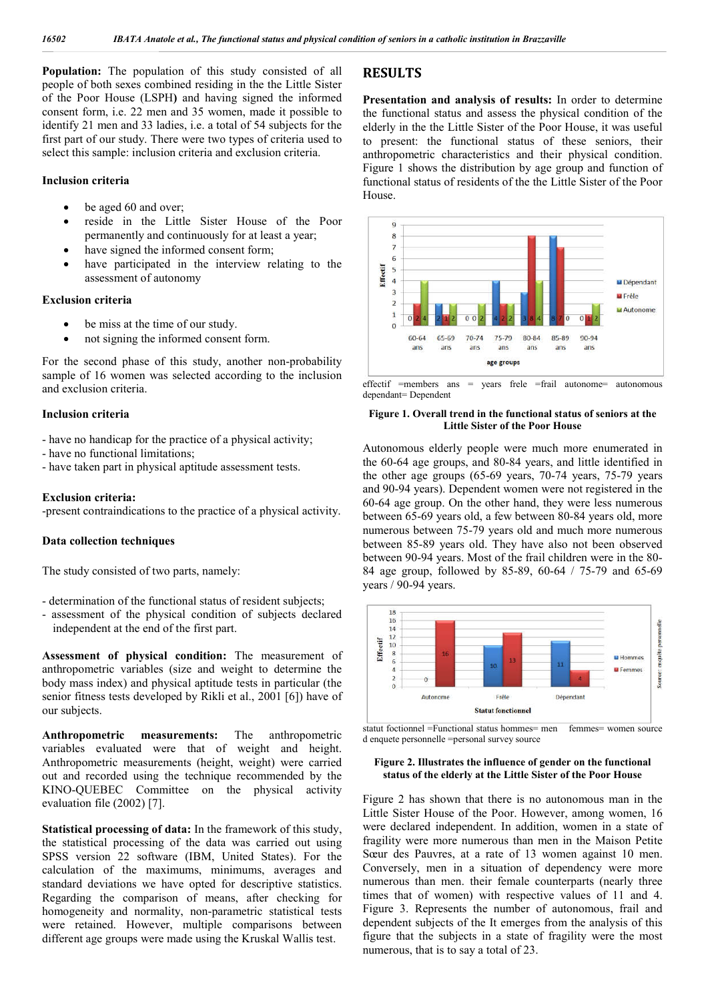**Population:** The population of this study consisted of all people of both sexes combined residing in the the Little Sister of the Poor House (LSPH**)** and having signed the informed consent form, i.e. 22 men and 35 women, made it possible to identify 21 men and 33 ladies, i.e. a total of 54 subjects for the first part of our study. There were two types of criteria used to select this sample: inclusion criteria and exclusion criteria.

#### **Inclusion criteria**

- be aged 60 and over;
- reside in the Little Sister House of the Poor permanently and continuously for at least a year;
- have signed the informed consent form;
- have participated in the interview relating to the assessment of autonomy

#### **Exclusion criteria**

- be miss at the time of our study.
- not signing the informed consent form.

For the second phase of this study, another non-probability sample of 16 women was selected according to the inclusion and exclusion criteria.

#### **Inclusion criteria**

- have no handicap for the practice of a physical activity;
- have no functional limitations;
- have taken part in physical aptitude assessment tests.

#### **Exclusion criteria:**

-present contraindications to the practice of a physical activity.

#### **Data collection techniques**

The study consisted of two parts, namely:

- determination of the functional status of resident subjects;
- assessment of the physical condition of subjects declared independent at the end of the first part.

**Assessment of physical condition:** The measurement of anthropometric variables (size and weight to determine the body mass index) and physical aptitude tests in particular (the senior fitness tests developed by Rikli et al., 2001 [6]) have of our subjects.

**Anthropometric measurements:** The anthropometric variables evaluated were that of weight and height. Anthropometric measurements (height, weight) were carried out and recorded using the technique recommended by the KINO-QUEBEC Committee on the physical activity evaluation file (2002) [7].

**Statistical processing of data:** In the framework of this study, the statistical processing of the data was carried out using SPSS version 22 software (IBM, United States). For the calculation of the maximums, minimums, averages and standard deviations we have opted for descriptive statistics. Regarding the comparison of means, after checking for homogeneity and normality, non-parametric statistical tests were retained. However, multiple comparisons between different age groups were made using the Kruskal Wallis test.

#### **RESULTS**

**Presentation and analysis of results:** In order to determine the functional status and assess the physical condition of the elderly in the the Little Sister of the Poor House, it was useful to present: the functional status of these seniors, their anthropometric characteristics and their physical condition. Figure 1 shows the distribution by age group and function of functional status of residents of the the Little Sister of the Poor House.



effectif =members ans = years frele =frail autonome= autonomous dependant= Dependent

#### **Figure 1. Overall trend in the functional status of seniors at the Little Sister of the Poor House**

Autonomous elderly people were much more enumerated in the 60-64 age groups, and 80-84 years, and little identified in the other age groups (65-69 years, 70-74 years, 75-79 years and 90-94 years). Dependent women were not registered in the 60-64 age group. On the other hand, they were less numerous between 65-69 years old, a few between 80-84 years old, more numerous between 75-79 years old and much more numerous between 85-89 years old. They have also not been observed between 90-94 years. Most of the frail children were in the 80- 84 age group, followed by 85-89, 60-64 / 75-79 and 65-69 years / 90-94 years.



statut foctionnel =Functional status hommes= men femmes= women source d enquete personnelle =personal survey source

#### **Figure 2. Illustrates the influence of gender on the functional status of the elderly at the Little Sister of the Poor House**

Figure 2 has shown that there is no autonomous man in the Little Sister House of the Poor. However, among women, 16 were declared independent. In addition, women in a state of fragility were more numerous than men in the Maison Petite Sœur des Pauvres, at a rate of 13 women against 10 men. Conversely, men in a situation of dependency were more numerous than men. their female counterparts (nearly three times that of women) with respective values of 11 and 4. Figure 3. Represents the number of autonomous, frail and dependent subjects of the It emerges from the analysis of this figure that the subjects in a state of fragility were the most numerous, that is to say a total of 23.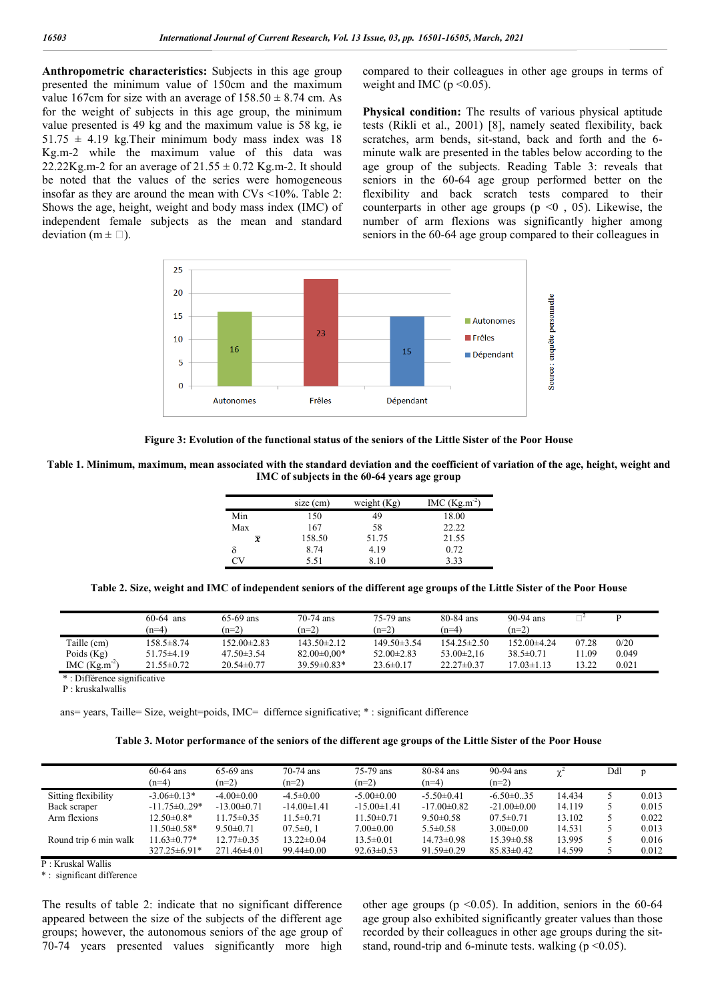**Anthropometric characteristics:** Subjects in this age group presented the minimum value of 150cm and the maximum value 167cm for size with an average of  $158.50 \pm 8.74$  cm. As for the weight of subjects in this age group, the minimum value presented is 49 kg and the maximum value is 58 kg, ie  $51.75 \pm 4.19$  kg. Their minimum body mass index was 18 Kg.m-2 while the maximum value of this data was 22.22Kg.m-2 for an average of  $21.55 \pm 0.72$  Kg.m-2. It should be noted that the values of the series were homogeneous insofar as they are around the mean with CVs <10%. Table 2: Shows the age, height, weight and body mass index (IMC) of independent female subjects as the mean and standard deviation ( $m \pm \Box$ ).

compared to their colleagues in other age groups in terms of weight and IMC ( $p \le 0.05$ ).

**Physical condition:** The results of various physical aptitude tests (Rikli et al., 2001) [8], namely seated flexibility, back scratches, arm bends, sit-stand, back and forth and the 6 minute walk are presented in the tables below according to the age group of the subjects. Reading Table 3: reveals that seniors in the 60-64 age group performed better on the flexibility and back scratch tests compared to their counterparts in other age groups ( $p \le 0$ , 05). Likewise, the number of arm flexions was significantly higher among seniors in the 60-64 age group compared to their colleagues in



**Figure 3: Evolution of the functional status of the seniors of the Little Sister of the Poor House**

**Table 1. Minimum, maximum, mean associated with the standard deviation and the coefficient of variation of the age, height, weight and IMC of subjects in the 60-64 years age group**

|     | size (cm) | weight $(Kg)$ | $MC (Kg.m^{-2})$ |  |  |  |
|-----|-----------|---------------|------------------|--|--|--|
| Min | 150       | 49            | 18.00            |  |  |  |
| Max | 167       | 58            | 22.22            |  |  |  |
| x   | 158.50    | 51.75         | 21.55            |  |  |  |
|     | 8.74      | 4.19          | 0.72             |  |  |  |
| Cν  | 5.51      | 8.10          | 3.33             |  |  |  |

**Table 2. Size, weight and IMC of independent seniors of the different age groups of the Little Sister of the Poor House**

|                  | $60-64$ ans<br>$(n=4)$ | $65-69$ ans<br>$(n=2)$ | $70-74$ ans<br>$(n=2)$ | 75-79 ans<br>$(n=2)$ | 80-84 ans<br>$(n=4)$ | $90-94$ ans<br>$(n=2)$ |       |       |
|------------------|------------------------|------------------------|------------------------|----------------------|----------------------|------------------------|-------|-------|
| Taille (cm)      | $158.5 \pm 8.74$       | $152.00\pm2.83$        | $143.50 \pm 2.12$      | $149.50\pm3.54$      | $154.25 \pm 2.50$    | 152.00±4.24            | 07.28 | 0/20  |
| Poids $(Kg)$     | $51.75 \pm 4.19$       | $47.50\pm3.54$         | $82.00 \pm 0.00*$      | $52.00 \pm 2.83$     | $53.00 \pm 2.16$     | $38.5 \pm 0.71$        | 11.09 | 0.049 |
| $MC (Kg.m^{-2})$ | $21.55\pm 0.72$        | $20.54\pm 0.77$        | $39.59\pm0.83*$        | $23.6\pm 0.17$       | $22.27\pm 0.37$      | $7.03 \pm 1.13$        | 13.22 | 0.021 |
|                  |                        |                        |                        |                      |                      |                        |       |       |

Différence significative

P : kruskalwallis

ans= years, Taille= Size, weight=poids, IMC= differnce significative; \* : significant difference

|  | Table 3. Motor performance of the seniors of the different age groups of the Little Sister of the Poor House |  |  |  |
|--|--------------------------------------------------------------------------------------------------------------|--|--|--|
|  |                                                                                                              |  |  |  |

|                       | $60-64$ ans<br>$(n=4)$ | $65-69$ ans<br>$(n=2)$ | $70-74$ ans<br>$(n=2)$ | 75-79 ans<br>$(n=2)$ | 80-84 ans<br>$(n=4)$ | 90-94 ans<br>$(n=2)$ | $\gamma^{\scriptscriptstyle +}$ | Ddl | D     |
|-----------------------|------------------------|------------------------|------------------------|----------------------|----------------------|----------------------|---------------------------------|-----|-------|
| Sitting flexibility   | $-3.06\pm0.13*$        | $-4.00 \pm 0.00$       | $-4.5 \pm 0.00$        | $-5.00 \pm 0.00$     | $-5.50 \pm 0.41$     | $-6.50\pm0.35$       | 14.434                          |     | 0.013 |
| Back scraper          | $-11.75 \pm 0.29*$     | $-13.00 \pm 0.71$      | $-14.00 \pm 1.41$      | $-15.00 \pm 1.41$    | $-17.00 \pm 0.82$    | $-21.00 \pm 0.00$    | 14.119                          |     | 0.015 |
| Arm flexions          | $12.50 \pm 0.8*$       | $11.75 \pm 0.35$       | $11.5 \pm 0.71$        | $11.50 \pm 0.71$     | $9.50 \pm 0.58$      | $07.5 \pm 0.71$      | 13.102                          |     | 0.022 |
|                       | $11.50\pm0.58*$        | $9.50 \pm 0.71$        | $07.5 \pm 0.1$         | $7.00 \pm 0.00$      | $5.5 \pm 0.58$       | $3.00 \pm 0.00$      | 14.531                          |     | 0.013 |
| Round trip 6 min walk | $11.63 \pm 0.77*$      | $12.77 \pm 0.35$       | $13.22 \pm 0.04$       | $13.5 \pm 0.01$      | $14.73 \pm 0.98$     | $15.39 \pm 0.58$     | 13.995                          |     | 0.016 |
|                       | $327.25 \pm 6.91*$     | $271.46\pm4.01$        | $99.44 \pm 0.00$       | $92.63 \pm 0.53$     | $91.59 \pm 0.29$     | $85.83 \pm 0.42$     | 14.599                          |     | 0.012 |

P : Kruskal Wallis

\* : significant difference

The results of table 2: indicate that no significant difference appeared between the size of the subjects of the different age groups; however, the autonomous seniors of the age group of 70-74 years presented values significantly more high

other age groups ( $p \le 0.05$ ). In addition, seniors in the 60-64 age group also exhibited significantly greater values than those recorded by their colleagues in other age groups during the sitstand, round-trip and 6-minute tests. walking ( $p \le 0.05$ ).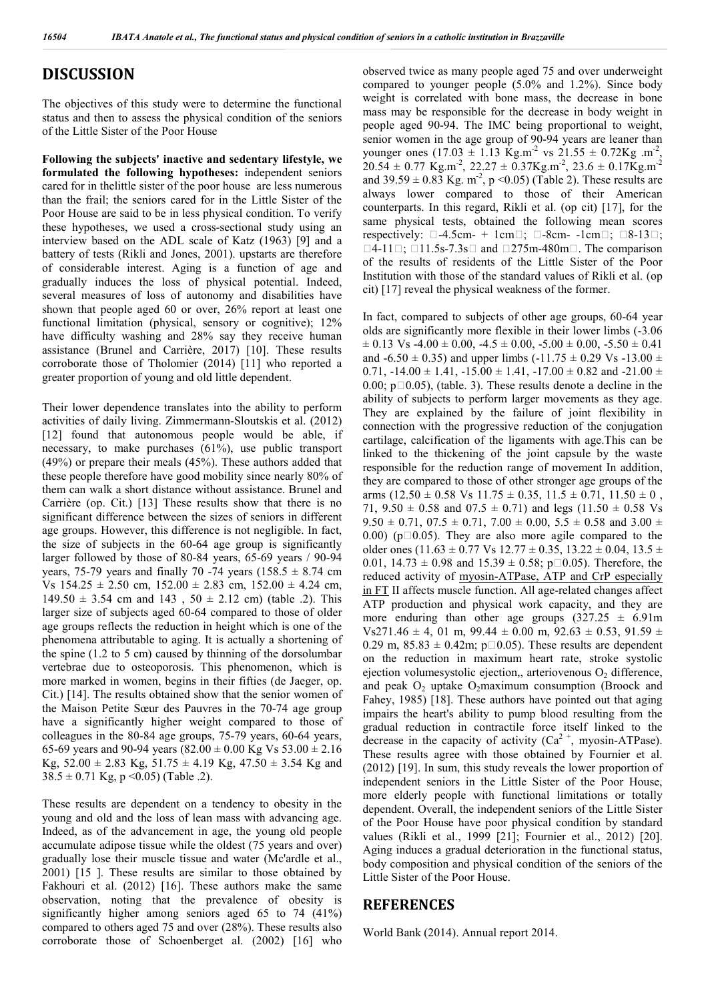### **DISCUSSION**

The objectives of this study were to determine the functional status and then to assess the physical condition of the seniors of the Little Sister of the Poor House

**Following the subjects' inactive and sedentary lifestyle, we formulated the following hypotheses:** independent seniors cared for in thelittle sister of the poor house are less numerous than the frail; the seniors cared for in the Little Sister of the Poor House are said to be in less physical condition. To verify these hypotheses, we used a cross-sectional study using an interview based on the ADL scale of Katz (1963) [9] and a battery of tests (Rikli and Jones, 2001). upstarts are therefore of considerable interest. Aging is a function of age and gradually induces the loss of physical potential. Indeed, several measures of loss of autonomy and disabilities have shown that people aged 60 or over, 26% report at least one functional limitation (physical, sensory or cognitive);  $12\%$ have difficulty washing and 28% say they receive human assistance (Brunel and Carrière, 2017) [10]. These results corroborate those of Tholomier (2014) [11] who reported a greater proportion of young and old little dependent.

Their lower dependence translates into the ability to perform activities of daily living. Zimmermann-Sloutskis et al. (2012) [12] found that autonomous people would be able, if necessary, to make purchases (61%), use public transport (49%) or prepare their meals (45%). These authors added that these people therefore have good mobility since nearly 80% of them can walk a short distance without assistance. Brunel and Carrière (op. Cit.) [13] These results show that there is no significant difference between the sizes of seniors in different age groups. However, this difference is not negligible. In fact, the size of subjects in the 60-64 age group is significantly larger followed by those of 80-84 years, 65-69 years / 90-94 years, 75-79 years and finally 70 -74 years (158.5  $\pm$  8.74 cm Vs  $154.25 \pm 2.50$  cm,  $152.00 \pm 2.83$  cm,  $152.00 \pm 4.24$  cm,  $149.50 \pm 3.54$  cm and  $143$ ,  $50 \pm 2.12$  cm) (table .2). This larger size of subjects aged 60-64 compared to those of older age groups reflects the reduction in height which is one of the phenomena attributable to aging. It is actually a shortening of the spine (1.2 to 5 cm) caused by thinning of the dorsolumbar vertebrae due to osteoporosis. This phenomenon, which is more marked in women, begins in their fifties (de Jaeger, op. Cit.) [14]. The results obtained show that the senior women of the Maison Petite Sœur des Pauvres in the 70-74 age group have a significantly higher weight compared to those of colleagues in the 80-84 age groups, 75-79 years, 60-64 years, 65-69 years and 90-94 years (82.00  $\pm$  0.00 Kg Vs 53.00  $\pm$  2.16 Kg,  $52.00 \pm 2.83$  Kg,  $51.75 \pm 4.19$  Kg,  $47.50 \pm 3.54$  Kg and  $38.5 \pm 0.71$  Kg, p < 0.05) (Table .2).

These results are dependent on a tendency to obesity in the young and old and the loss of lean mass with advancing age. Indeed, as of the advancement in age, the young old people accumulate adipose tissue while the oldest (75 years and over) gradually lose their muscle tissue and water (Mc'ardle et al., 2001) [15 ]. These results are similar to those obtained by Fakhouri et al. (2012) [16]. These authors make the same observation, noting that the prevalence of obesity is significantly higher among seniors aged 65 to 74 (41%) compared to others aged 75 and over (28%). These results also corroborate those of Schoenberget al. (2002) [16] who

observed twice as many people aged 75 and over underweight compared to younger people (5.0% and 1.2%). Since body weight is correlated with bone mass, the decrease in bone mass may be responsible for the decrease in body weight in people aged 90-94. The IMC being proportional to weight, senior women in the age group of 90-94 years are leaner than younger ones  $(17.03 \pm 1.13 \text{ kg.m}^2 \text{ vs } 21.55 \pm 0.72 \text{ kg.m}^2)$ ,  $20.54 \pm 0.77$  Kg.m<sup>-2</sup>, 22.27  $\pm$  0.37Kg.m<sup>-2</sup>, 23.6  $\pm$  0.17Kg.m<sup>-2</sup> and  $39.59 \pm 0.83$  Kg. m<sup>-2</sup>, p < 0.05) (Table 2). These results are always lower compared to those of their American counterparts. In this regard, Rikli et al. (op cit) [17], for the same physical tests, obtained the following mean scores respectively:  $\Box$ -4.5cm- + 1cm $\Box$ ;  $\Box$ -8cm- -1cm $\Box$ ;  $\Box$ 8-13 $\Box$ ;  $\Box$ 4-11 $\Box$ ;  $\Box$ 11.5s-7.3s $\Box$  and  $\Box$ 275m-480m $\Box$ . The comparison of the results of residents of the Little Sister of the Poor Institution with those of the standard values of Rikli et al. (op cit) [17] reveal the physical weakness of the former.

In fact, compared to subjects of other age groups, 60-64 year olds are significantly more flexible in their lower limbs (-3.06  $\pm$  0.13 Vs -4.00  $\pm$  0.00, -4.5  $\pm$  0.00, -5.00  $\pm$  0.00, -5.50  $\pm$  0.41 and  $-6.50 \pm 0.35$ ) and upper limbs  $(-11.75 \pm 0.29 \text{ Vs} -13.00 \pm 0.35)$ 0.71,  $-14.00 \pm 1.41$ ,  $-15.00 \pm 1.41$ ,  $-17.00 \pm 0.82$  and  $-21.00 \pm 0.82$ 0.00;  $p\Box 0.05$ ), (table. 3). These results denote a decline in the ability of subjects to perform larger movements as they age. They are explained by the failure of joint flexibility in connection with the progressive reduction of the conjugation cartilage, calcification of the ligaments with age.This can be linked to the thickening of the joint capsule by the waste responsible for the reduction range of movement In addition, they are compared to those of other stronger age groups of the arms  $(12.50 \pm 0.58 \text{ Vs } 11.75 \pm 0.35, 11.5 \pm 0.71, 11.50 \pm 0,$ 71,  $9.50 \pm 0.58$  and  $07.5 \pm 0.71$ ) and legs  $(11.50 \pm 0.58$  Vs  $9.50 \pm 0.71$ ,  $07.5 \pm 0.71$ ,  $7.00 \pm 0.00$ ,  $5.5 \pm 0.58$  and  $3.00 \pm 0.00$ 0.00) ( $p\Box 0.05$ ). They are also more agile compared to the older ones (11.63  $\pm$  0.77 Vs 12.77  $\pm$  0.35, 13.22  $\pm$  0.04, 13.5  $\pm$ 0.01,  $14.73 \pm 0.98$  and  $15.39 \pm 0.58$ ;  $p\Box 0.05$ ). Therefore, the reduced activity of myosin-ATPase, ATP and CrP especially in FT II affects muscle function. All age-related changes affect ATP production and physical work capacity, and they are more enduring than other age groups  $(327.25 \pm 6.91 \text{m})$ Vs271.46  $\pm$  4, 01 m, 99.44  $\pm$  0.00 m, 92.63  $\pm$  0.53, 91.59  $\pm$ 0.29 m,  $85.83 \pm 0.42$ m; p $\Box$ 0.05). These results are dependent on the reduction in maximum heart rate, stroke systolic ejection volumesystolic ejection,, arteriovenous  $O_2$  difference, and peak  $O_2$  uptake  $O_2$ maximum consumption (Broock and Fahey, 1985) [18]. These authors have pointed out that aging impairs the heart's ability to pump blood resulting from the gradual reduction in contractile force itself linked to the decrease in the capacity of activity  $(Ca^{2+}$ , myosin-ATPase). These results agree with those obtained by Fournier et al. (2012) [19]. In sum, this study reveals the lower proportion of independent seniors in the Little Sister of the Poor House, more elderly people with functional limitations or totally dependent. Overall, the independent seniors of the Little Sister of the Poor House have poor physical condition by standard values (Rikli et al., 1999 [21]; Fournier et al., 2012) [20]. Aging induces a gradual deterioration in the functional status, body composition and physical condition of the seniors of the Little Sister of the Poor House.

#### **REFERENCES**

World Bank (2014). Annual report 2014.